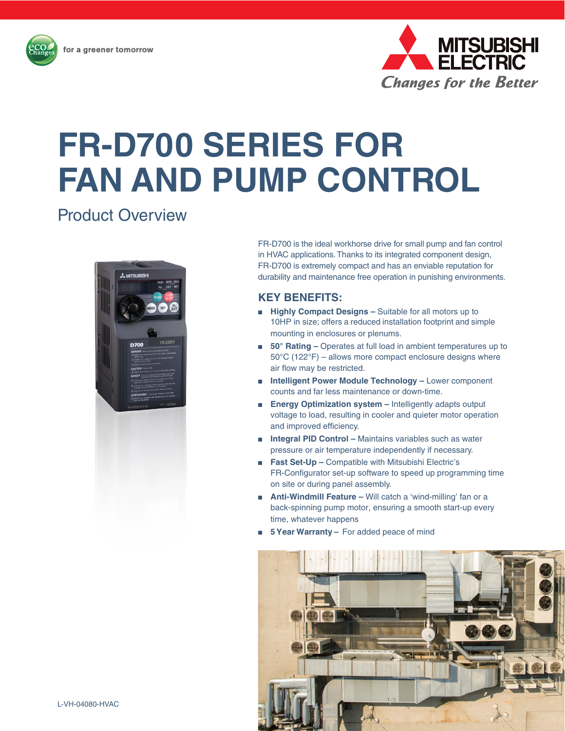

# **FR-D700 SERIES FOR FAN AND PUMP CONTROL**

# Product Overview



FR-D700 is the ideal workhorse drive for small pump and fan control in HVAC applications. Thanks to its integrated component design, FR-D700 is extremely compact and has an enviable reputation for durability and maintenance free operation in punishing environments.

## **KEY BENEFITS:**

- **Highly Compact Designs** Suitable for all motors up to 10HP in size; offers a reduced installation footprint and simple mounting in enclosures or plenums.
- **50° Rating** Operates at full load in ambient temperatures up to 50°C (122°F) – allows more compact enclosure designs where air flow may be restricted.
- **Intelligent Power Module Technology** Lower component counts and far less maintenance or down-time.
- **Energy Optimization system** Intelligently adapts output voltage to load, resulting in cooler and quieter motor operation and improved efficiency.
- **Integral PID Control** Maintains variables such as water pressure or air temperature independently if necessary.
- **Fast Set-Up** Compatible with Mitsubishi Electric's FR-Configurator set-up software to speed up programming time on site or during panel assembly.
- **Anti-Windmill Feature** Will catch a 'wind-milling' fan or a back-spinning pump motor, ensuring a smooth start-up every time, whatever happens
- **5 Year Warranty** For added peace of mind